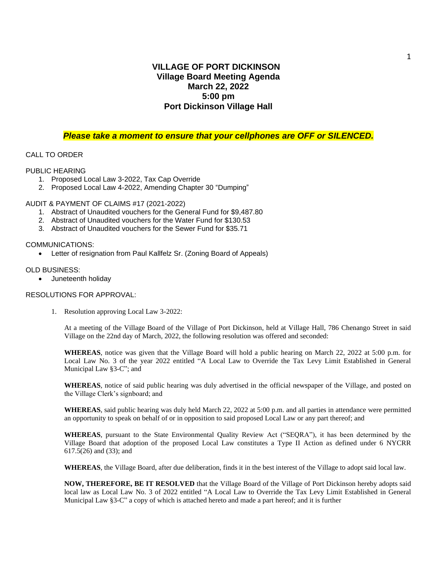# **VILLAGE OF PORT DICKINSON Village Board Meeting Agenda March 22, 2022 5:00 pm Port Dickinson Village Hall**

## *Please take a moment to ensure that your cellphones are OFF or SILENCED.*

## CALL TO ORDER

#### PUBLIC HEARING

- 1. Proposed Local Law 3-2022, Tax Cap Override
- 2. Proposed Local Law 4-2022, Amending Chapter 30 "Dumping"

## AUDIT & PAYMENT OF CLAIMS #17 (2021-2022)

- 1. Abstract of Unaudited vouchers for the General Fund for \$9,487.80
- 2. Abstract of Unaudited vouchers for the Water Fund for \$130.53
- 3. Abstract of Unaudited vouchers for the Sewer Fund for \$35.71

#### COMMUNICATIONS:

• Letter of resignation from Paul Kallfelz Sr. (Zoning Board of Appeals)

#### OLD BUSINESS:

• Juneteenth holiday

## RESOLUTIONS FOR APPROVAL:

1. Resolution approving Local Law 3-2022:

At a meeting of the Village Board of the Village of Port Dickinson, held at Village Hall, 786 Chenango Street in said Village on the 22nd day of March, 2022, the following resolution was offered and seconded:

**WHEREAS**, notice was given that the Village Board will hold a public hearing on March 22, 2022 at 5:00 p.m. for Local Law No. 3 of the year 2022 entitled "A Local Law to Override the Tax Levy Limit Established in General Municipal Law §3-C"; and

**WHEREAS**, notice of said public hearing was duly advertised in the official newspaper of the Village, and posted on the Village Clerk's signboard; and

**WHEREAS**, said public hearing was duly held March 22, 2022 at 5:00 p.m. and all parties in attendance were permitted an opportunity to speak on behalf of or in opposition to said proposed Local Law or any part thereof; and

**WHEREAS**, pursuant to the State Environmental Quality Review Act ("SEQRA"), it has been determined by the Village Board that adoption of the proposed Local Law constitutes a Type II Action as defined under 6 NYCRR 617.5(26) and (33); and

**WHEREAS**, the Village Board, after due deliberation, finds it in the best interest of the Village to adopt said local law.

**NOW, THEREFORE, BE IT RESOLVED** that the Village Board of the Village of Port Dickinson hereby adopts said local law as Local Law No. 3 of 2022 entitled "A Local Law to Override the Tax Levy Limit Established in General Municipal Law §3-C" a copy of which is attached hereto and made a part hereof; and it is further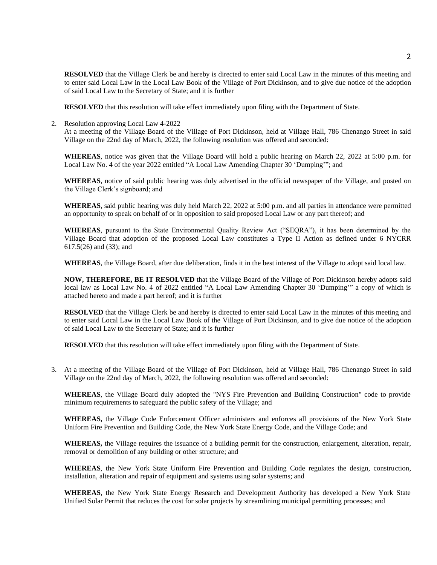**RESOLVED** that the Village Clerk be and hereby is directed to enter said Local Law in the minutes of this meeting and to enter said Local Law in the Local Law Book of the Village of Port Dickinson, and to give due notice of the adoption of said Local Law to the Secretary of State; and it is further

**RESOLVED** that this resolution will take effect immediately upon filing with the Department of State.

2. Resolution approving Local Law 4-2022

At a meeting of the Village Board of the Village of Port Dickinson, held at Village Hall, 786 Chenango Street in said Village on the 22nd day of March, 2022, the following resolution was offered and seconded:

**WHEREAS**, notice was given that the Village Board will hold a public hearing on March 22, 2022 at 5:00 p.m. for Local Law No. 4 of the year 2022 entitled "A Local Law Amending Chapter 30 'Dumping'"; and

**WHEREAS**, notice of said public hearing was duly advertised in the official newspaper of the Village, and posted on the Village Clerk's signboard; and

**WHEREAS**, said public hearing was duly held March 22, 2022 at 5:00 p.m. and all parties in attendance were permitted an opportunity to speak on behalf of or in opposition to said proposed Local Law or any part thereof; and

**WHEREAS**, pursuant to the State Environmental Quality Review Act ("SEQRA"), it has been determined by the Village Board that adoption of the proposed Local Law constitutes a Type II Action as defined under 6 NYCRR 617.5(26) and (33); and

**WHEREAS**, the Village Board, after due deliberation, finds it in the best interest of the Village to adopt said local law.

**NOW, THEREFORE, BE IT RESOLVED** that the Village Board of the Village of Port Dickinson hereby adopts said local law as Local Law No. 4 of 2022 entitled "A Local Law Amending Chapter 30 'Dumping'" a copy of which is attached hereto and made a part hereof; and it is further

**RESOLVED** that the Village Clerk be and hereby is directed to enter said Local Law in the minutes of this meeting and to enter said Local Law in the Local Law Book of the Village of Port Dickinson, and to give due notice of the adoption of said Local Law to the Secretary of State; and it is further

**RESOLVED** that this resolution will take effect immediately upon filing with the Department of State.

3. At a meeting of the Village Board of the Village of Port Dickinson, held at Village Hall, 786 Chenango Street in said Village on the 22nd day of March, 2022, the following resolution was offered and seconded:

**WHEREAS**, the Village Board duly adopted the "NYS Fire Prevention and Building Construction" code to provide minimum requirements to safeguard the public safety of the Village; and

**WHEREAS,** the Village Code Enforcement Officer administers and enforces all provisions of the New York State Uniform Fire Prevention and Building Code, the New York State Energy Code, and the Village Code; and

**WHEREAS,** the Village requires the issuance of a building permit for the construction, enlargement, alteration, repair, removal or demolition of any building or other structure; and

**WHEREAS**, the New York State Uniform Fire Prevention and Building Code regulates the design, construction, installation, alteration and repair of equipment and systems using solar systems; and

**WHEREAS**, the New York State Energy Research and Development Authority has developed a New York State Unified Solar Permit that reduces the cost for solar projects by streamlining municipal permitting processes; and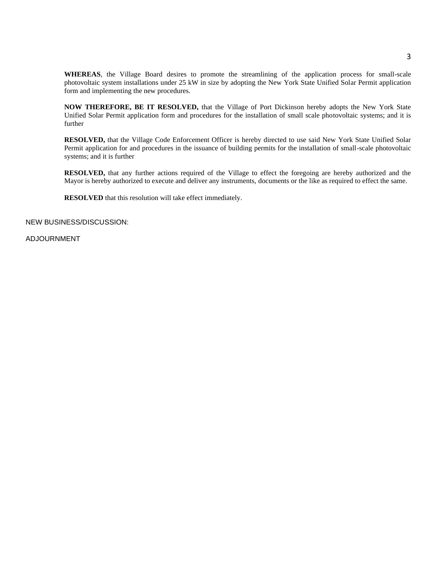**WHEREAS**, the Village Board desires to promote the streamlining of the application process for small-scale photovoltaic system installations under 25 kW in size by adopting the New York State Unified Solar Permit application form and implementing the new procedures.

**NOW THEREFORE, BE IT RESOLVED,** that the Village of Port Dickinson hereby adopts the New York State Unified Solar Permit application form and procedures for the installation of small scale photovoltaic systems; and it is further

**RESOLVED,** that the Village Code Enforcement Officer is hereby directed to use said New York State Unified Solar Permit application for and procedures in the issuance of building permits for the installation of small-scale photovoltaic systems; and it is further

**RESOLVED,** that any further actions required of the Village to effect the foregoing are hereby authorized and the Mayor is hereby authorized to execute and deliver any instruments, documents or the like as required to effect the same.

**RESOLVED** that this resolution will take effect immediately.

NEW BUSINESS/DISCUSSION:

ADJOURNMENT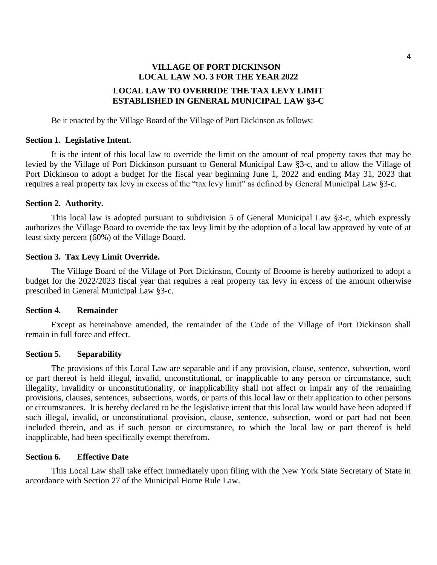# **VILLAGE OF PORT DICKINSON LOCAL LAW NO. 3 FOR THE YEAR 2022 LOCAL LAW TO OVERRIDE THE TAX LEVY LIMIT ESTABLISHED IN GENERAL MUNICIPAL LAW §3-C**

Be it enacted by the Village Board of the Village of Port Dickinson as follows:

## **Section 1. Legislative Intent.**

It is the intent of this local law to override the limit on the amount of real property taxes that may be levied by the Village of Port Dickinson pursuant to General Municipal Law §3-c, and to allow the Village of Port Dickinson to adopt a budget for the fiscal year beginning June 1, 2022 and ending May 31, 2023 that requires a real property tax levy in excess of the "tax levy limit" as defined by General Municipal Law §3-c.

## **Section 2. Authority.**

This local law is adopted pursuant to subdivision 5 of General Municipal Law §3-c, which expressly authorizes the Village Board to override the tax levy limit by the adoption of a local law approved by vote of at least sixty percent (60%) of the Village Board.

#### **Section 3. Tax Levy Limit Override.**

The Village Board of the Village of Port Dickinson, County of Broome is hereby authorized to adopt a budget for the 2022/2023 fiscal year that requires a real property tax levy in excess of the amount otherwise prescribed in General Municipal Law §3-c.

#### **Section 4. Remainder**

Except as hereinabove amended, the remainder of the Code of the Village of Port Dickinson shall remain in full force and effect.

#### **Section 5. Separability**

The provisions of this Local Law are separable and if any provision, clause, sentence, subsection, word or part thereof is held illegal, invalid, unconstitutional, or inapplicable to any person or circumstance, such illegality, invalidity or unconstitutionality, or inapplicability shall not affect or impair any of the remaining provisions, clauses, sentences, subsections, words, or parts of this local law or their application to other persons or circumstances. It is hereby declared to be the legislative intent that this local law would have been adopted if such illegal, invalid, or unconstitutional provision, clause, sentence, subsection, word or part had not been included therein, and as if such person or circumstance, to which the local law or part thereof is held inapplicable, had been specifically exempt therefrom.

## **Section 6. Effective Date**

This Local Law shall take effect immediately upon filing with the New York State Secretary of State in accordance with Section 27 of the Municipal Home Rule Law.